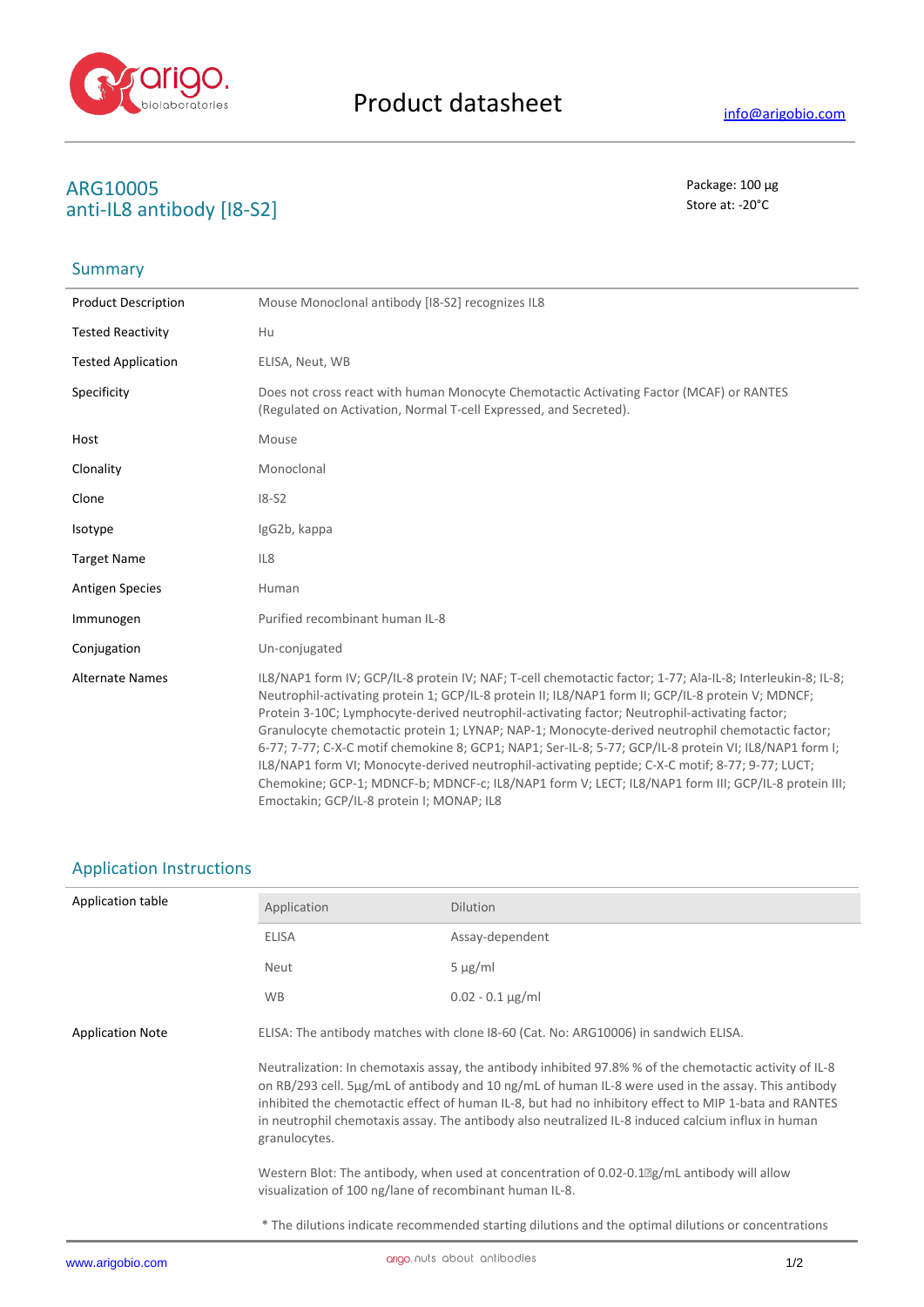

# **ARG10005** Package: 100 μg<br> **ARG10005** Package: 100 μg<br> **ARG10005** Package: 100 μg anti-IL8 antibody [I8-S2]

## Summary

| <b>Product Description</b> | Mouse Monoclonal antibody [18-S2] recognizes IL8                                                                                                                                                                                                                                                                                                                                                                                                                                                                                                                                                                                                                                                                                                                                         |
|----------------------------|------------------------------------------------------------------------------------------------------------------------------------------------------------------------------------------------------------------------------------------------------------------------------------------------------------------------------------------------------------------------------------------------------------------------------------------------------------------------------------------------------------------------------------------------------------------------------------------------------------------------------------------------------------------------------------------------------------------------------------------------------------------------------------------|
| <b>Tested Reactivity</b>   | Hu                                                                                                                                                                                                                                                                                                                                                                                                                                                                                                                                                                                                                                                                                                                                                                                       |
| <b>Tested Application</b>  | ELISA, Neut, WB                                                                                                                                                                                                                                                                                                                                                                                                                                                                                                                                                                                                                                                                                                                                                                          |
| Specificity                | Does not cross react with human Monocyte Chemotactic Activating Factor (MCAF) or RANTES<br>(Regulated on Activation, Normal T-cell Expressed, and Secreted).                                                                                                                                                                                                                                                                                                                                                                                                                                                                                                                                                                                                                             |
| Host                       | Mouse                                                                                                                                                                                                                                                                                                                                                                                                                                                                                                                                                                                                                                                                                                                                                                                    |
| Clonality                  | Monoclonal                                                                                                                                                                                                                                                                                                                                                                                                                                                                                                                                                                                                                                                                                                                                                                               |
| Clone                      | $18-52$                                                                                                                                                                                                                                                                                                                                                                                                                                                                                                                                                                                                                                                                                                                                                                                  |
| Isotype                    | IgG2b, kappa                                                                                                                                                                                                                                                                                                                                                                                                                                                                                                                                                                                                                                                                                                                                                                             |
| <b>Target Name</b>         | IL <sub>8</sub>                                                                                                                                                                                                                                                                                                                                                                                                                                                                                                                                                                                                                                                                                                                                                                          |
| <b>Antigen Species</b>     | Human                                                                                                                                                                                                                                                                                                                                                                                                                                                                                                                                                                                                                                                                                                                                                                                    |
| Immunogen                  | Purified recombinant human IL-8                                                                                                                                                                                                                                                                                                                                                                                                                                                                                                                                                                                                                                                                                                                                                          |
| Conjugation                | Un-conjugated                                                                                                                                                                                                                                                                                                                                                                                                                                                                                                                                                                                                                                                                                                                                                                            |
| <b>Alternate Names</b>     | IL8/NAP1 form IV; GCP/IL-8 protein IV; NAF; T-cell chemotactic factor; 1-77; Ala-IL-8; Interleukin-8; IL-8;<br>Neutrophil-activating protein 1; GCP/IL-8 protein II; IL8/NAP1 form II; GCP/IL-8 protein V; MDNCF;<br>Protein 3-10C; Lymphocyte-derived neutrophil-activating factor; Neutrophil-activating factor;<br>Granulocyte chemotactic protein 1; LYNAP; NAP-1; Monocyte-derived neutrophil chemotactic factor;<br>6-77; 7-77; C-X-C motif chemokine 8; GCP1; NAP1; Ser-IL-8; 5-77; GCP/IL-8 protein VI; IL8/NAP1 form I;<br>IL8/NAP1 form VI; Monocyte-derived neutrophil-activating peptide; C-X-C motif; 8-77; 9-77; LUCT;<br>Chemokine; GCP-1; MDNCF-b; MDNCF-c; IL8/NAP1 form V; LECT; IL8/NAP1 form III; GCP/IL-8 protein III;<br>Emoctakin; GCP/IL-8 protein I; MONAP; IL8 |

### Application Instructions

| Application table       | Application                                             | <b>Dilution</b>                                                                                                                                                                                                                                                                                                                                                                                                                    |
|-------------------------|---------------------------------------------------------|------------------------------------------------------------------------------------------------------------------------------------------------------------------------------------------------------------------------------------------------------------------------------------------------------------------------------------------------------------------------------------------------------------------------------------|
|                         | <b>ELISA</b>                                            | Assay-dependent                                                                                                                                                                                                                                                                                                                                                                                                                    |
|                         | Neut                                                    | $5 \mu g/ml$                                                                                                                                                                                                                                                                                                                                                                                                                       |
|                         | <b>WB</b>                                               | $0.02 - 0.1 \,\mu g/ml$                                                                                                                                                                                                                                                                                                                                                                                                            |
| <b>Application Note</b> |                                                         | ELISA: The antibody matches with clone I8-60 (Cat. No: ARG10006) in sandwich ELISA.                                                                                                                                                                                                                                                                                                                                                |
|                         | granulocytes.                                           | Neutralization: In chemotaxis assay, the antibody inhibited 97.8% % of the chemotactic activity of IL-8<br>on RB/293 cell. $5\mu g/mL$ of antibody and 10 ng/mL of human IL-8 were used in the assay. This antibody<br>inhibited the chemotactic effect of human IL-8, but had no inhibitory effect to MIP 1-bata and RANTES<br>in neutrophil chemotaxis assay. The antibody also neutralized IL-8 induced calcium influx in human |
|                         | visualization of 100 ng/lane of recombinant human IL-8. | Western Blot: The antibody, when used at concentration of 0.02-0.1 $\mathbb{Z}$ g/mL antibody will allow                                                                                                                                                                                                                                                                                                                           |
|                         |                                                         | * The dilutions indicate recommended starting dilutions and the optimal dilutions or concentrations                                                                                                                                                                                                                                                                                                                                |